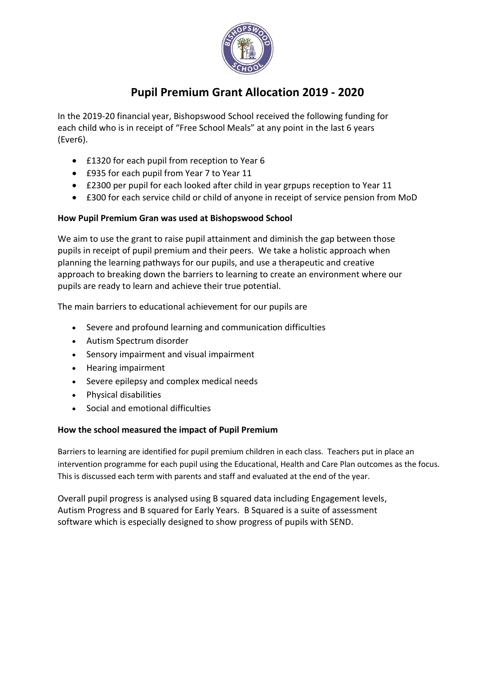

## **Pupil Premium Grant Allocation 2019 - 2020**

In the 2019-20 financial year, Bishopswood School received the following funding for each child who is in receipt of "Free School Meals" at any point in the last 6 years (Ever6).

- £1320 for each pupil from reception to Year 6
- £935 for each pupil from Year 7 to Year 11
- £2300 per pupil for each looked after child in year grpups reception to Year 11
- £300 for each service child or child of anyone in receipt of service pension from MoD

## **How Pupil Premium Gran was used at Bishopswood School**

We aim to use the grant to raise pupil attainment and diminish the gap between those pupils in receipt of pupil premium and their peers. We take a holistic approach when planning the learning pathways for our pupils, and use a therapeutic and creative approach to breaking down the barriers to learning to create an environment where our pupils are ready to learn and achieve their true potential.

The main barriers to educational achievement for our pupils are

- Severe and profound learning and communication difficulties
- Autism Spectrum disorder
- Sensory impairment and visual impairment
- Hearing impairment
- Severe epilepsy and complex medical needs
- Physical disabilities
- Social and emotional difficulties

## **How the school measured the impact of Pupil Premium**

Barriers to learning are identified for pupil premium children in each class. Teachers put in place an intervention programme for each pupil using the Educational, Health and Care Plan outcomes as the focus. This is discussed each term with parents and staff and evaluated at the end of the year.

Overall pupil progress is analysed using B squared data including Engagement levels, Autism Progress and B squared for Early Years. B Squared is a suite of assessment software which is especially designed to show progress of pupils with SEND.